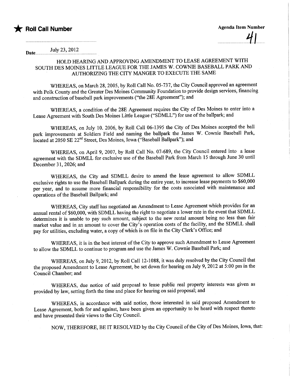

July 23,2012 Date.

## HOLD HEARING AND APPROVING AMENDMENT TO LEASE AGREEMENT WITH SOUTH DES MOINES LITTLE LEAGUE FOR THE JAMES W. COWNIE BASEBALL PARK AND AUTHORIZING THE CITY MANGER TO EXECUTE THE SAME

WHREAS, on March 28, 2005, by Roll Call No. 05-737, the City Council approved an agreement with Polk County and the Greater Des Moines Community Foundation to provide design services, financing and construction of baseball park improvements ("the 28E Agreement"); and

WHREAS, a condition of the 28E Agreement requires the City of Des Moines to enter into a Lease Agreement with South Des Moines Little League ("SDMLL") for use of the ballpark; and

WHREAS, on July 10. 2006, by Roll Call 06-1395 the City of Des Moines accepted the ball park improvements at Soldiers Field and naming the ballpark the James W. Cownie Baseball Park, located at 2050 SE 22nd Street, Des Moines, Iowa ("Baseball Ballpark"); and

WHREAS, on April 9, 2007, by Roll Call No. 07-689, the City Council entered into a lease agreement with the SDMLL for exclusive use of the Baseball Park from March 15 through June 30 until December 31, 2026; and

WHREAS, the City and SDMLL desire to amend the lease agreement to allow SDMLL exclusive rights to use the Baseball Ballpark during the entire year, to increase lease payments to \$60,000 per year, and to assume more financial responsibilty for the costs associated with maintenance and operations of the Baseball Ballpark; and

WHREAS, City staff has negotiated an Amendment to Lease Agreement which provides for an annual rental of \$60,000, with SDMLL having the right to negotiate a lower rate in the event that SDMLL determines it is unable to pay such amount, subject to the new rental amount being no less than fair market value and in an amount to cover the City's operation costs of the facility, and the SDMLL shall pay for utilities, excluding water, a copy of which is on file in the City Clerk's Office; and

WHREAS, it is in the best interest of the City to approve such Amendment to Lease Agreement to allow the SDMLL to continue to program and use the James W. Cownie Baseball Park; and

WHREAS, on July 9, 2012, by Roll Call 12-1088, it was duly resolved by the City Council that the proposed Amendment to Lease Agreement, be set down for hearing on July 9,2012 at 5:00 pm in the Council Chamber; and

WHEREAS, due notice of said proposal to lease public real property interests was given as provided by law, setting forth the time and place for hearing on said proposal; and

WHREAS, in accordance with said notice, those interested in said proposed Amendment to Lease Agreement, both for and against, have been given an opportunity to be heard with respect thereto and have presented their views to the City CounciL.

NOW, THEREFORE, BE IT RESOLVED by the City Council of the City of Des Moines, Iowa, that: